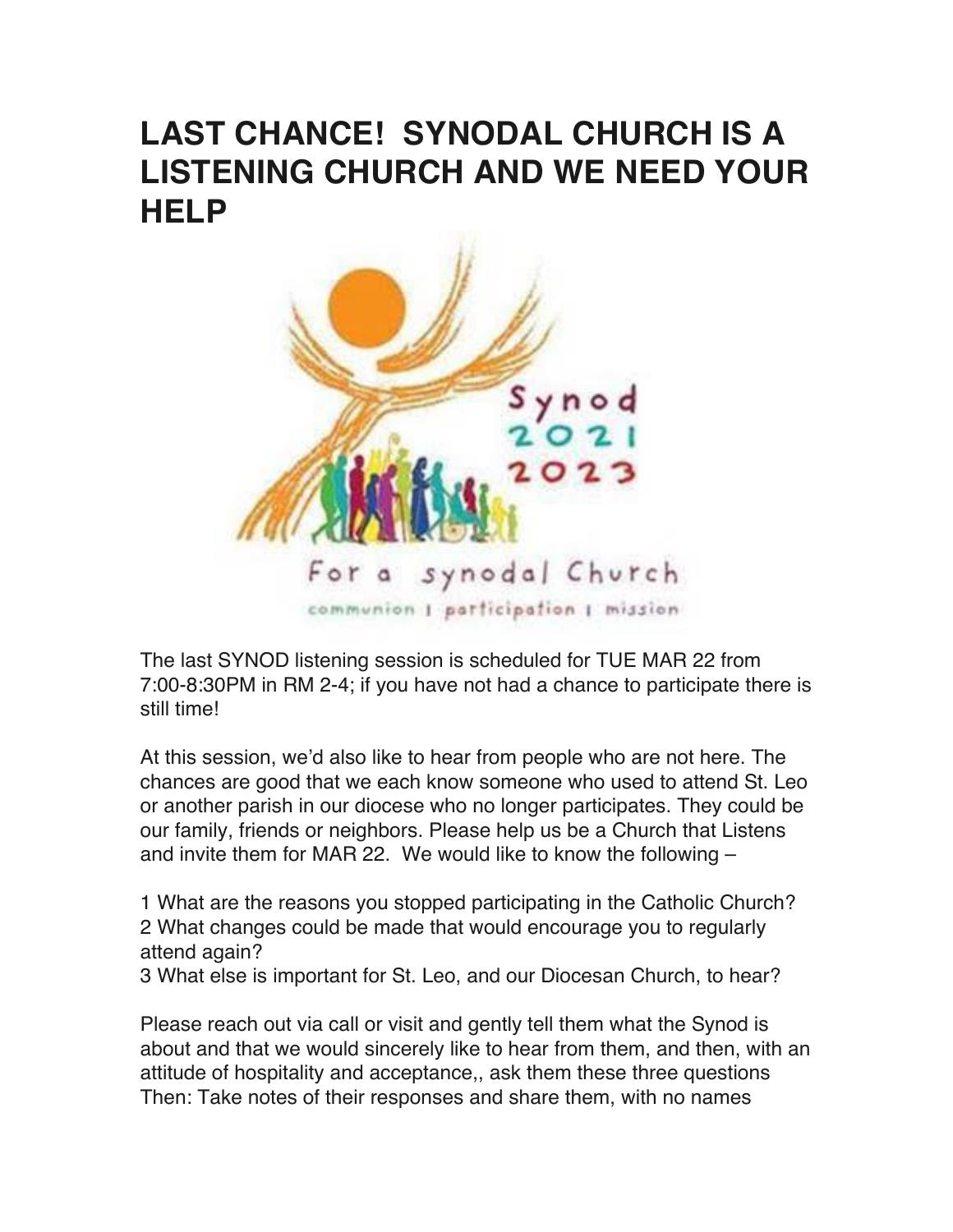## **LAST CHANCE! SYNODAL CHURCH IS A LISTENING CHURCH AND WE NEED YOUR HELP**



The last SYNOD listening session is scheduled for TUE MAR 22 from 7:00-8:30PM in RM 2-4; if you have not had a chance to participate there is still time!

At this session, we'd also like to hear from people who are not here. The chances are good that we each know someone who used to attend St. Leo or another parish in our diocese who no longer participates. They could be our family, friends or neighbors. Please help us be a Church that Listens and invite them for MAR 22. We would like to know the following –

1 What are the reasons you stopped participating in the Catholic Church? 2 What changes could be made that would encourage you to regularly attend again?

3 What else is important for St. Leo, and our Diocesan Church, to hear?

Please reach out via call or visit and gently tell them what the Synod is about and that we would sincerely like to hear from them, and then, with an attitude of hospitality and acceptance,, ask them these three questions Then: Take notes of their responses and share them, with no names